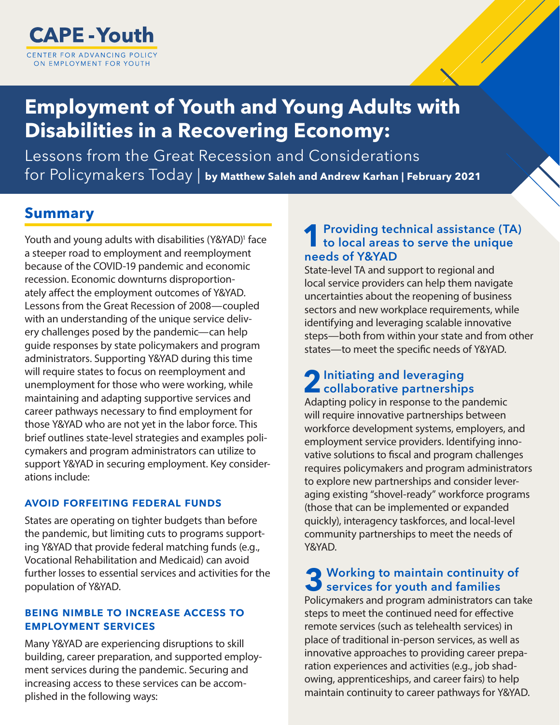

# **Employment of Youth and Young Adults with Disabilities in a Recovering Economy:**

Lessons from the Great Recession and Considerations for Policymakers Today | **by Matthew Saleh and Andrew Karhan | February 2021**

### **Summary**

Youth and young adults with disabilities (Y&YAD)<sup>1</sup> face a steeper road to employment and reemployment because of the COVID-19 pandemic and economic recession. Economic downturns disproportionately affect the employment outcomes of Y&YAD. Lessons from the Great Recession of 2008—coupled with an understanding of the unique service delivery challenges posed by the pandemic—can help guide responses by state policymakers and program administrators. Supporting Y&YAD during this time will require states to focus on reemployment and unemployment for those who were working, while maintaining and adapting supportive services and career pathways necessary to find employment for those Y&YAD who are not yet in the labor force. This brief outlines state-level strategies and examples policymakers and program administrators can utilize to support Y&YAD in securing employment. Key considerations include:

#### avoid forfeiting federal funds

States are operating on tighter budgets than before the pandemic, but limiting cuts to programs supporting Y&YAD that provide federal matching funds (e.g., Vocational Rehabilitation and Medicaid) can avoid further losses to essential services and activities for the population of Y&YAD.

### being nimble to increase access to employment services

Many Y&YAD are experiencing disruptions to skill building, career preparation, and supported employment services during the pandemic. Securing and increasing access to these services can be accomplished in the following ways:

### Providing technical assistance (TA) to local areas to serve the unique needs of Y&YAD

State-level TA and support to regional and local service providers can help them navigate uncertainties about the reopening of business sectors and new workplace requirements, while identifying and leveraging scalable innovative steps—both from within your state and from other states—to meet the specific needs of Y&YAD.

# 2 Initiating and leveraging<br>collaborative partnerships

Adapting policy in response to the pandemic will require innovative partnerships between workforce development systems, employers, and employment service providers. Identifying innovative solutions to fiscal and program challenges requires policymakers and program administrators to explore new partnerships and consider leveraging existing "shovel-ready" workforce programs (those that can be implemented or expanded quickly), interagency taskforces, and local-level community partnerships to meet the needs of Y&YAD.

# 3 Working to maintain continuity of services for youth and families

Policymakers and program administrators can take steps to meet the continued need for effective remote services (such as telehealth services) in place of traditional in-person services, as well as innovative approaches to providing career preparation experiences and activities (e.g., job shadowing, apprenticeships, and career fairs) to help maintain continuity to career pathways for Y&YAD.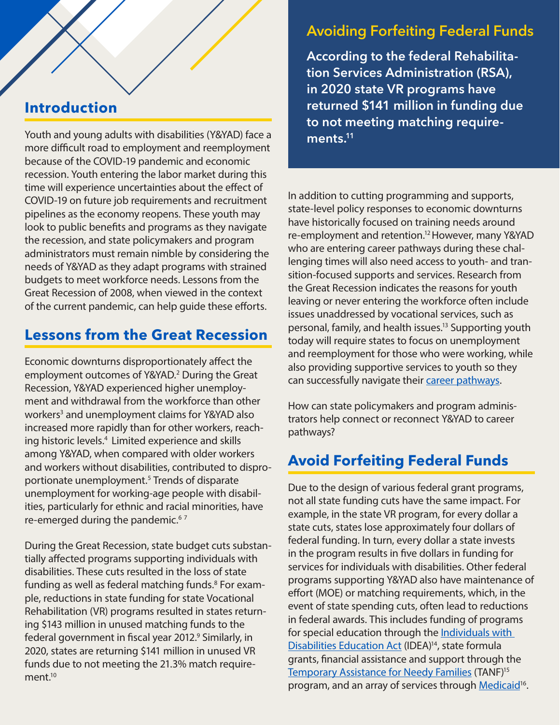### <span id="page-1-0"></span>**Introduction**

Youth and young adults with disabilities (Y&YAD) face a more difficult road to employment and reemployment because of the COVID-19 pandemic and economic recession. Youth entering the labor market during this time will experience uncertainties about the effect of COVID-19 on future job requirements and recruitment pipelines as the economy reopens. These youth may look to public benefits and programs as they navigate the recession, and state policymakers and program administrators must remain nimble by considering the needs of Y&YAD as they adapt programs with strained budgets to meet workforce needs. Lessons from the Great Recession of 2008, when viewed in the context of the current pandemic, can help guide these efforts.

### **Lessons from the Great Recession**

Economic downturns disproportionately affect the employment outcomes of Y&YAD.<sup>[2](#page-4-0)</sup> During the Great Recession, Y&YAD experienced higher unemployment and withdrawal from the workforce than other workers<sup>3</sup> and unemployment claims for Y&YAD also increased more rapidly than for other workers, reaching historic levels[.4](#page-4-0) Limited experience and skills among Y&YAD, when compared with older workers and workers without disabilities, contributed to disproportionate unemployment.[5](#page-4-0) Trends of disparate unemployment for working-age people with disabilities, particularly for ethnic and racial minorities, have re-emerged during the pandemic.<sup>6[7](#page-4-0)</sup>

During the Great Recession, state budget cuts substantially affected programs supporting individuals with disabilities. These cuts resulted in the loss of state funding as well as federal matching funds.<sup>8</sup> For example, reductions in state funding for state Vocational Rehabilitation (VR) programs resulted in states returning \$143 million in unused matching funds to the federal government in fiscal year 2012.<sup>9</sup> Similarly, in 2020, states are returning \$141 million in unused VR funds due to not meeting the 21.3% match requirement $10$ 

# Avoiding Forfeiting Federal Funds

According to the federal Rehabilitation Services Administration (RSA), in 2020 state VR programs have returned \$141 million in funding due to not meeting matching requirements.<sup>11</sup>

In addition to cutting programming and supports, state-level policy responses to economic downturns have historically focused on training needs around re-employment and retention.<sup>12</sup> However, many Y&YAD who are entering career pathways during these challenging times will also need access to youth- and transition-focused supports and services. Research from the Great Recession indicates the reasons for youth leaving or never entering the workforce often include issues unaddressed by vocational services, such as personal, family, and health issues[.13](#page-4-0) Supporting youth today will require states to focus on unemployment and reemployment for those who were working, while also providing supportive services to youth so they can successfully navigate their [career pathways](http://leadcenter.org/career-pathways).

How can state policymakers and program administrators help connect or reconnect Y&YAD to career pathways?

# **Avoid Forfeiting Federal Funds**

Due to the design of various federal grant programs, not all state funding cuts have the same impact. For example, in the state VR program, for every dollar a state cuts, states lose approximately four dollars of federal funding. In turn, every dollar a state invests in the program results in five dollars in funding for services for individuals with disabilities. Other federal programs supporting Y&YAD also have maintenance of effort (MOE) or matching requirements, which, in the event of state spending cuts, often lead to reductions in federal awards. This includes funding of programs for special education through the [Individuals with](https://cifr.wested.org/resources/mfs/)  [Disabilities Education Act](https://cifr.wested.org/resources/mfs/) (IDEA)<sup>14</sup>, state formula grants, financial assistance and support through the [Temporary Assistance for Needy Families](https://crsreports.congress.gov/product/pdf/RL/RL32748) (TANF[\)15](#page-4-0) program, and an array of services through [Medicaid](https://www.kff.org/medicaid/issue-brief/medicaid-financing-how-does-it-work-and-what-are-the-implications/)<sup>16</sup>.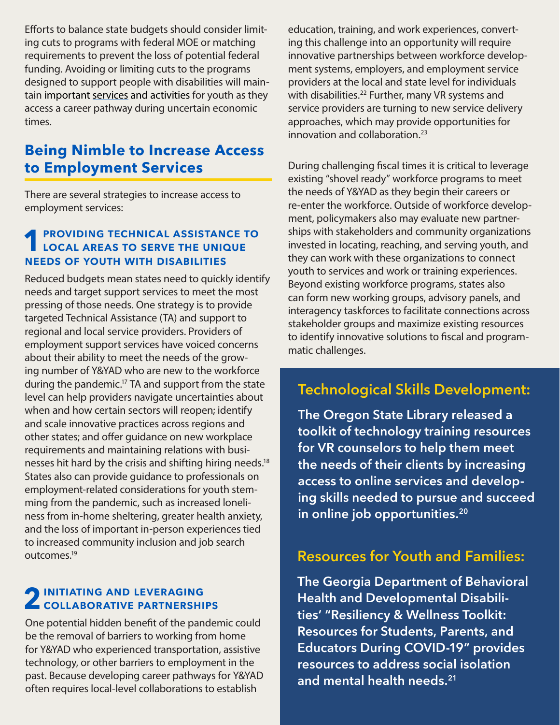Efforts to balance state budgets should consider limiting cuts to programs with federal MOE or matching requirements to prevent the loss of potential federal funding. Avoiding or limiting cuts to the programs designed to support people with disabilities will maintain important [services](https://capeyouth.org/guideposts-for-success/) and activities for youth as they access a career pathway during uncertain economic times.

### **Being Nimble to Increase Access to Employment Services**

There are several strategies to increase access to employment services:

### **PROVIDING TECHNICAL ASSISTANCE TO** LOCAL AREAS TO SERVE THE UNIQUE needs of youth with disabilities

Reduced budgets mean states need to quickly identify needs and target support services to meet the most pressing of those needs. One strategy is to provide targeted Technical Assistance (TA) and support to regional and local service providers. Providers of employment support services have voiced concerns about their ability to meet the needs of the growing number of Y&YAD who are new to the workforce during the pandemic.<sup>17</sup> TA and support from the state level can help providers navigate uncertainties about when and how certain sectors will reopen; identify and scale innovative practices across regions and other states; and offer guidance on new workplace requirements and maintaining relations with businesses hit hard by the crisis and shifting hiring needs[.18](#page-4-0) States also can provide guidance to professionals on employment-related considerations for youth stemming from the pandemic, such as increased loneliness from in-home sheltering, greater health anxiety, and the loss of important in-person experiences tied to increased community inclusion and job search outcomes[.19](#page-4-0)

# 2 INITIATING AND LEVERAGING

One potential hidden benefit of the pandemic could be the removal of barriers to working from home for Y&YAD who experienced transportation, assistive technology, or other barriers to employment in the past. Because developing career pathways for Y&YAD often requires local-level collaborations to establish

education, training, and work experiences, converting this challenge into an opportunity will require innovative partnerships between workforce development systems, employers, and employment service providers at the local and state level for individuals with disabilities.<sup>[22](#page-4-0)</sup> Further, many VR systems and service providers are turning to new service delivery approaches, which may provide opportunities for innovation and collaboration.<sup>23</sup>

During challenging fiscal times it is critical to leverage existing "shovel ready" workforce programs to meet the needs of Y&YAD as they begin their careers or re-enter the workforce. Outside of workforce development, policymakers also may evaluate new partnerships with stakeholders and community organizations invested in locating, reaching, and serving youth, and they can work with these organizations to connect youth to services and work or training experiences. Beyond existing workforce programs, states also can form new working groups, advisory panels, and interagency taskforces to facilitate connections across stakeholder groups and maximize existing resources to identify innovative solutions to fiscal and programmatic challenges.

## Technological Skills Development:

The Oregon State Library released a toolkit of technology training resources for VR counselors to help them meet the needs of their clients by increasing access to online services and developing skills needed to pursue and succeed in online job opportunities.<sup>[20](#page-4-0)</sup>

### Resources for Youth and Families:

The Georgia Department of Behavioral Health and Developmental Disabilities' "Resiliency & Wellness Toolkit: Resources for Students, Parents, and Educators During COVID-19" provides resources to address social isolation and mental health needs.<sup>[21](#page-4-0)</sup>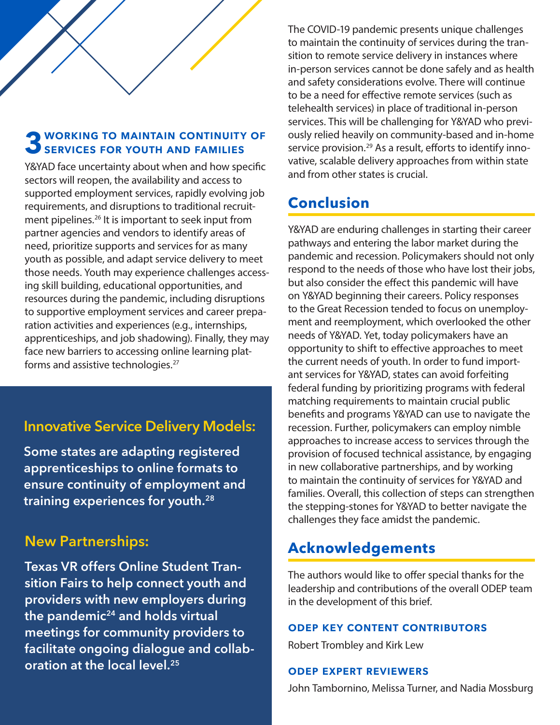<span id="page-3-0"></span>

### **3 WORKING TO MAINTAIN CONTINUITY OF** SERVICES FOR YOUTH AND FAMILIES

Y&YAD face uncertainty about when and how specific sectors will reopen, the availability and access to supported employment services, rapidly evolving job requirements, and disruptions to traditional recruitment pipelines.<sup>26</sup> It is important to seek input from partner agencies and vendors to identify areas of need, prioritize supports and services for as many youth as possible, and adapt service delivery to meet those needs. Youth may experience challenges accessing skill building, educational opportunities, and resources during the pandemic, including disruptions to supportive employment services and career preparation activities and experiences (e.g., internships, apprenticeships, and job shadowing). Finally, they may face new barriers to accessing online learning plat-forms and assistive technologies.<sup>[27](#page-4-0)</sup>

### Innovative Service Delivery Models:

Some states are adapting registered apprenticeships to online formats to ensure continuity of employment and training experiences for youth.[28](#page-5-0)

### New Partnerships:

Texas VR offers Online Student Transition Fairs to help connect youth and providers with new employers during the pandemic $24$  and holds virtual meetings for community providers to facilitate ongoing dialogue and collaboration at the local level.<sup>25</sup>

The COVID-19 pandemic presents unique challenges to maintain the continuity of services during the transition to remote service delivery in instances where in-person services cannot be done safely and as health and safety considerations evolve. There will continue to be a need for effective remote services (such as telehealth services) in place of traditional in-person services. This will be challenging for Y&YAD who previously relied heavily on community-based and in-home service provision.<sup>29</sup> As a result, efforts to identify innovative, scalable delivery approaches from within state and from other states is crucial.

## **Conclusion**

Y&YAD are enduring challenges in starting their career pathways and entering the labor market during the pandemic and recession. Policymakers should not only respond to the needs of those who have lost their jobs, but also consider the effect this pandemic will have on Y&YAD beginning their careers. Policy responses to the Great Recession tended to focus on unemployment and reemployment, which overlooked the other needs of Y&YAD. Yet, today policymakers have an opportunity to shift to effective approaches to meet the current needs of youth. In order to fund important services for Y&YAD, states can avoid forfeiting federal funding by prioritizing programs with federal matching requirements to maintain crucial public benefits and programs Y&YAD can use to navigate the recession. Further, policymakers can employ nimble approaches to increase access to services through the provision of focused technical assistance, by engaging in new collaborative partnerships, and by working to maintain the continuity of services for Y&YAD and families. Overall, this collection of steps can strengthen the stepping-stones for Y&YAD to better navigate the challenges they face amidst the pandemic.

### **Acknowledgements**

The authors would like to offer special thanks for the leadership and contributions of the overall ODEP team in the development of this brief.

#### odep key content contributors

Robert Trombley and Kirk Lew

#### odep expert reviewers

John Tambornino, Melissa Turner, and Nadia Mossburg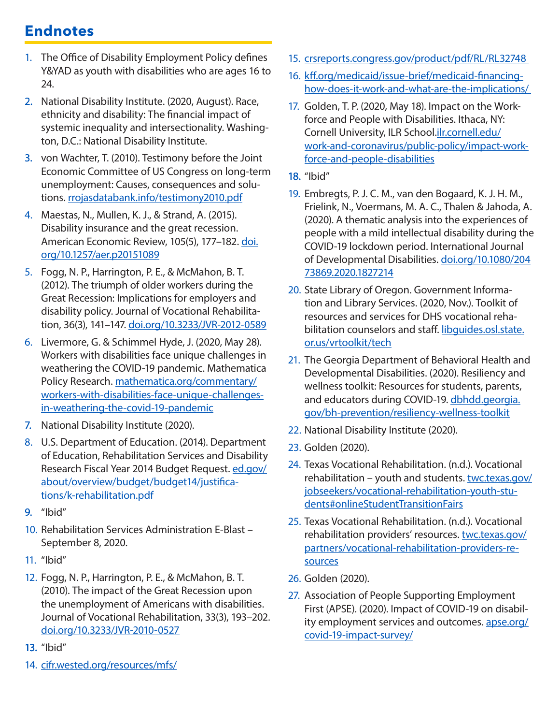# <span id="page-4-0"></span>**Endnotes**

- 1. The Office of Disability Employment Policy defines Y&YAD as youth with disabilities who are ages 16 to 24.
- 2. [Na](#page-1-0)tional Disability Institute. (2020, August). Race, ethnicity and disability: The financial impact of systemic inequality and intersectionality. Washington, D.C.: National Disability Institute.
- 3. [vo](#page-1-0)n Wachter, T. (2010). Testimony before the Joint Economic Committee of US Congress on long-term unemployment: Causes, consequences and solutions. [rrojasdatabank.info/testimony2010.pdf](http://www.ww.rrojasdatabank.info/testimony2010.pdf)
- 4. Maestas, N., Mullen, K. J., & Strand, A. (2015). Disability insurance and the great recession. American Economic Review, 105(5), 177-182. [doi.](https://doi.org/10.1257/aer.p20151089) [org/10.1257/aer.p20151089](https://doi.org/10.1257/aer.p20151089)
- 5. Fogg, N. P., Harrington, P. E., & McMahon, B. T. (2012). The triumph of older workers during the Great Recession: Implications for employers and disability policy. Journal of Vocational Rehabilitation, 36(3), 141-147. [doi.org/10.3233/JVR-2012-0589](http://doi.org/10.3233/JVR-2012-0589)
- 6. Livermore, G. & Schimmel Hyde, J. (2020, May 28). Workers with disabilities face unique challenges in weathering the COVID-19 pandemic. Mathematica Policy Research. [mathematica.org/commentary/](https://www.mathematica.org/commentary/workers-with-disabilities-face-unique-challenges-in-weathering-the-covid-19-pandemic) [workers-with-disabilities-face-unique-challenges](https://www.mathematica.org/commentary/workers-with-disabilities-face-unique-challenges-in-weathering-the-covid-19-pandemic)[in-weathering-the-covid-19-pandemic](https://www.mathematica.org/commentary/workers-with-disabilities-face-unique-challenges-in-weathering-the-covid-19-pandemic)
- 7. [Na](#page-1-0)tional Disability Institute (2020).
- 8. U.S. Department of Education. (2014). Department of Education, Rehabilitation Services and Disability Research Fiscal Year 2014 Budget Request. [ed.gov/](https://www2.ed.gov/about/overview/budget/budget14/justifications/k-rehabilitation.pdf) [about/overview/budget/budget14/justifica](https://www2.ed.gov/about/overview/budget/budget14/justifications/k-rehabilitation.pdf)[tions/k-rehabilitation.pdf](https://www2.ed.gov/about/overview/budget/budget14/justifications/k-rehabilitation.pdf)
- 9. ["](#page-1-0)Ibid"
- 10. Rehabilitation Services Administration E-Blast September 8, 2020.
- 11. "Ibid"
- 12. Fogg, N. P., Harrington, P. E., & McMahon, B. T. (2010). The impact of the Great Recession upon the unemployment of Americans with disabilities. Journal of Vocational Rehabilitation, 33(3), 193–202. [doi.org/10.3233/JVR-2010-0527](http://doi.org/10.3233/JVR-2010-0527)
- 13. ["I](#page-1-0)bid"
- 14. [cifr.wested.org/resources/mfs/](https://cifr.wested.org/resources/mfs/)
- 15. [crsreports.congress.gov/product/pdf/RL/RL32748](https://crsreports.congress.gov/product/pdf/RL/RL32748)
- 16. [kff.org/medicaid/issue-brief/medicaid-financing](https://www.kff.org/medicaid/issue-brief/medicaid-financing-how-does-it-work-and-what-are-the-implications/)[how-does-it-work-and-what-are-the-implications/](https://www.kff.org/medicaid/issue-brief/medicaid-financing-how-does-it-work-and-what-are-the-implications/)
- 17. Golden, T. P. (2020, May 18). Impact on the Workforce and People with Disabilities. Ithaca, NY: Cornell University, ILR School.[ilr.cornell.edu/](https://www.ilr.cornell.edu/work-and-coronavirus/public-policy/impact-workforce-and-people-disabilities) [work-and-coronavirus/public-policy/impact-work](https://www.ilr.cornell.edu/work-and-coronavirus/public-policy/impact-workforce-and-people-disabilities)[force-and-people-disabilities](https://www.ilr.cornell.edu/work-and-coronavirus/public-policy/impact-workforce-and-people-disabilities)
- 18. "Ibid"
- 19. Embregts, P. J. C. M., van den Bogaard, K. J. H. M., Frielink, N., Voermans, M. A. C., Thalen & Jahoda, A. (2020). A thematic analysis into the experiences of people with a mild intellectual disability during the COVID-19 lockdown period. International Journal of Developmental Disabilities. [doi.org/10.1080/204](https://doi.org/10.1080/20473869.2020.1827214) [73869.2020.1827214](https://doi.org/10.1080/20473869.2020.1827214)
- 20. State Library of Oregon. Government Information and Library Services. (2020, Nov.). Toolkit of resources and services for DHS vocational rehabilitation counselors and staff. [libguides.osl.state.](https://libguides.osl.state.or.us/vrtoolkit/tech) [or.us/vrtoolkit/tech](https://libguides.osl.state.or.us/vrtoolkit/tech)
- 21. The Georgia Department of Behavioral Health and Developmental Disabilities. (2020). Resiliency and wellness toolkit: Resources for students, parents, and educators during COVID-19. [dbhdd.georgia.](https://dbhdd.georgia.gov/bh-prevention/resiliency-wellness-toolkit) [gov/bh-prevention/resiliency-wellness-toolkit](https://dbhdd.georgia.gov/bh-prevention/resiliency-wellness-toolkit)
- 22. National Disability Institute (2020).
- 23. Golden (2020).
- 24. Texas Vocational Rehabilitation. (n.d.). Vocational rehabilitation - youth and students. [twc.texas.gov/](https://www.twc.texas.gov/jobseekers/vocational-rehabilitation-youth-students#onlineStudentTransitionFairs) [jobseekers/vocational-rehabilitation-youth-stu](https://www.twc.texas.gov/jobseekers/vocational-rehabilitation-youth-students#onlineStudentTransitionFairs)[dents#onlineStudentTransitionFairs](https://www.twc.texas.gov/jobseekers/vocational-rehabilitation-youth-students#onlineStudentTransitionFairs)
- 25. Texas Vocational Rehabilitation. (n.d.). Vocational rehabilitation providers' resources. [twc.texas.gov/](https://www.twc.texas.gov/partners/vocational-rehabilitation-providers-resources) [partners/vocational-rehabilitation-providers-re](https://www.twc.texas.gov/partners/vocational-rehabilitation-providers-resources)[sources](https://www.twc.texas.gov/partners/vocational-rehabilitation-providers-resources)
- 26. Golden (2020).
- 27. Association of People Supporting Employment First (APSE). (2020). Impact of COVID-19 on disability employment services and outcomes. [apse.org/](https://apse.org/covid-19-impact-survey/) [covid-19-impact-survey/](https://apse.org/covid-19-impact-survey/)